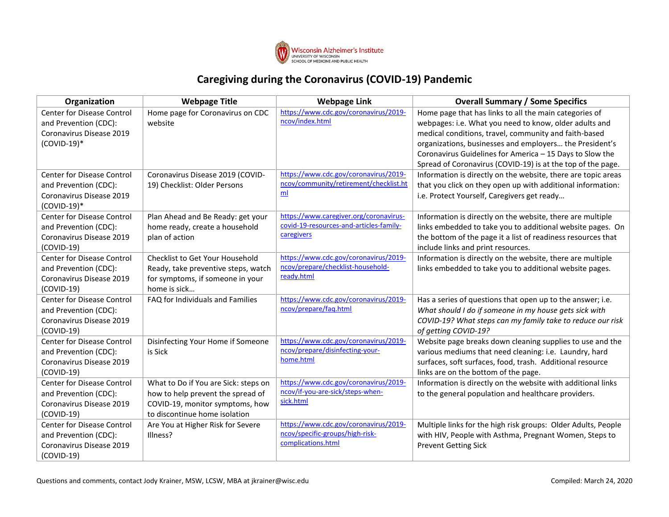

## **Caregiving during the Coronavirus (COVID-19) Pandemic**

| Organization                                               | <b>Webpage Title</b>                                             | <b>Webpage Link</b>                                                               | <b>Overall Summary / Some Specifics</b>                                                                                 |
|------------------------------------------------------------|------------------------------------------------------------------|-----------------------------------------------------------------------------------|-------------------------------------------------------------------------------------------------------------------------|
| <b>Center for Disease Control</b><br>and Prevention (CDC): | Home page for Coronavirus on CDC<br>website                      | https://www.cdc.gov/coronavirus/2019-<br>ncov/index.html                          | Home page that has links to all the main categories of<br>webpages: i.e. What you need to know, older adults and        |
| Coronavirus Disease 2019                                   |                                                                  |                                                                                   | medical conditions, travel, community and faith-based                                                                   |
| $(COVID-19)*$                                              |                                                                  |                                                                                   | organizations, businesses and employers the President's                                                                 |
|                                                            |                                                                  |                                                                                   | Coronavirus Guidelines for America - 15 Days to Slow the                                                                |
|                                                            |                                                                  |                                                                                   | Spread of Coronavirus (COVID-19) is at the top of the page.                                                             |
| <b>Center for Disease Control</b>                          | Coronavirus Disease 2019 (COVID-                                 | https://www.cdc.gov/coronavirus/2019-<br>ncov/community/retirement/checklist.ht   | Information is directly on the website, there are topic areas                                                           |
| and Prevention (CDC):                                      | 19) Checklist: Older Persons                                     | m <sub>l</sub>                                                                    | that you click on they open up with additional information:                                                             |
| Coronavirus Disease 2019                                   |                                                                  |                                                                                   | i.e. Protect Yourself, Caregivers get ready                                                                             |
| $(COVID-19)*$                                              |                                                                  |                                                                                   |                                                                                                                         |
| <b>Center for Disease Control</b>                          | Plan Ahead and Be Ready: get your                                | https://www.caregiver.org/coronavirus-<br>covid-19-resources-and-articles-family- | Information is directly on the website, there are multiple                                                              |
| and Prevention (CDC):                                      | home ready, create a household                                   | caregivers                                                                        | links embedded to take you to additional website pages. On                                                              |
| Coronavirus Disease 2019                                   | plan of action                                                   |                                                                                   | the bottom of the page it a list of readiness resources that                                                            |
| $(COVID-19)$                                               |                                                                  |                                                                                   | include links and print resources.                                                                                      |
| <b>Center for Disease Control</b>                          | Checklist to Get Your Household                                  | https://www.cdc.gov/coronavirus/2019-<br>ncov/prepare/checklist-household-        | Information is directly on the website, there are multiple                                                              |
| and Prevention (CDC):                                      | Ready, take preventive steps, watch                              | ready.html                                                                        | links embedded to take you to additional website pages.                                                                 |
| Coronavirus Disease 2019                                   | for symptoms, if someone in your                                 |                                                                                   |                                                                                                                         |
| $(COVID-19)$                                               | home is sick                                                     | https://www.cdc.gov/coronavirus/2019-                                             |                                                                                                                         |
| Center for Disease Control                                 | FAQ for Individuals and Families                                 | ncov/prepare/fag.html                                                             | Has a series of questions that open up to the answer; i.e.                                                              |
| and Prevention (CDC):                                      |                                                                  |                                                                                   | What should I do if someone in my house gets sick with                                                                  |
| Coronavirus Disease 2019                                   |                                                                  |                                                                                   | COVID-19? What steps can my family take to reduce our risk                                                              |
| $(COVID-19)$                                               |                                                                  | https://www.cdc.gov/coronavirus/2019-                                             | of getting COVID-19?                                                                                                    |
| Center for Disease Control                                 | Disinfecting Your Home if Someone                                | ncov/prepare/disinfecting-your-                                                   | Website page breaks down cleaning supplies to use and the                                                               |
| and Prevention (CDC):                                      | is Sick                                                          | home.html                                                                         | various mediums that need cleaning: i.e. Laundry, hard                                                                  |
| Coronavirus Disease 2019                                   |                                                                  |                                                                                   | surfaces, soft surfaces, food, trash. Additional resource                                                               |
| $(COVID-19)$                                               |                                                                  | https://www.cdc.gov/coronavirus/2019-                                             | links are on the bottom of the page.                                                                                    |
| <b>Center for Disease Control</b>                          | What to Do if You are Sick: steps on                             | ncov/if-you-are-sick/steps-when-                                                  | Information is directly on the website with additional links                                                            |
| and Prevention (CDC):                                      | how to help prevent the spread of                                | sick.html                                                                         | to the general population and healthcare providers.                                                                     |
| Coronavirus Disease 2019                                   | COVID-19, monitor symptoms, how<br>to discontinue home isolation |                                                                                   |                                                                                                                         |
| $(COVID-19)$                                               |                                                                  | https://www.cdc.gov/coronavirus/2019-                                             |                                                                                                                         |
| <b>Center for Disease Control</b>                          | Are You at Higher Risk for Severe<br>Illness?                    | ncov/specific-groups/high-risk-                                                   | Multiple links for the high risk groups: Older Adults, People<br>with HIV, People with Asthma, Pregnant Women, Steps to |
| and Prevention (CDC):<br>Coronavirus Disease 2019          |                                                                  | complications.html                                                                |                                                                                                                         |
|                                                            |                                                                  |                                                                                   | <b>Prevent Getting Sick</b>                                                                                             |
| $(COVID-19)$                                               |                                                                  |                                                                                   |                                                                                                                         |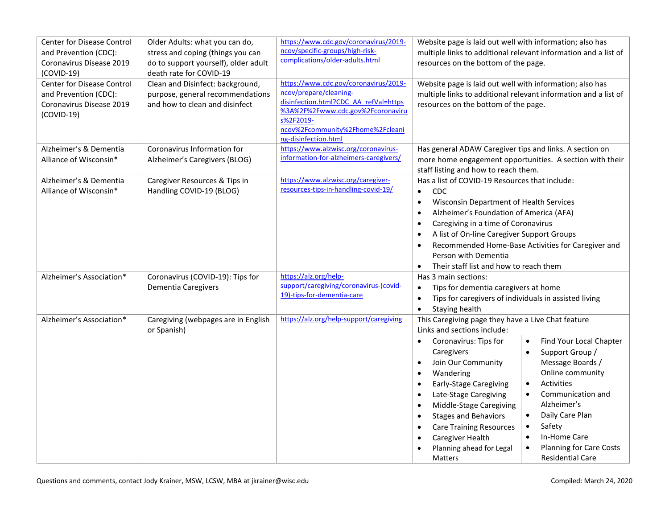| <b>Center for Disease Control</b> | Older Adults: what you can do,       | https://www.cdc.gov/coronavirus/2019-   | Website page is laid out well with information; also has           |                                                                 |
|-----------------------------------|--------------------------------------|-----------------------------------------|--------------------------------------------------------------------|-----------------------------------------------------------------|
| and Prevention (CDC):             | stress and coping (things you can    | ncov/specific-groups/high-risk-         |                                                                    | multiple links to additional relevant information and a list of |
| Coronavirus Disease 2019          | do to support yourself), older adult | complications/older-adults.html         | resources on the bottom of the page.                               |                                                                 |
| (COVID-19)                        | death rate for COVID-19              |                                         |                                                                    |                                                                 |
| Center for Disease Control        | Clean and Disinfect: background,     | https://www.cdc.gov/coronavirus/2019-   | Website page is laid out well with information; also has           |                                                                 |
| and Prevention (CDC):             | purpose, general recommendations     | ncov/prepare/cleaning-                  |                                                                    | multiple links to additional relevant information and a list of |
| Coronavirus Disease 2019          | and how to clean and disinfect       | disinfection.html?CDC AA refVal=https   | resources on the bottom of the page.                               |                                                                 |
| $(COVID-19)$                      |                                      | %3A%2F%2Fwww.cdc.gov%2Fcoronaviru       |                                                                    |                                                                 |
|                                   |                                      | s%2F2019-                               |                                                                    |                                                                 |
|                                   |                                      | ncov%2Fcommunity%2Fhome%2Fcleani        |                                                                    |                                                                 |
|                                   |                                      | ng-disinfection.html                    |                                                                    |                                                                 |
| Alzheimer's & Dementia            | Coronavirus Information for          | https://www.alzwisc.org/coronavirus-    | Has general ADAW Caregiver tips and links. A section on            |                                                                 |
| Alliance of Wisconsin*            | Alzheimer's Caregivers (BLOG)        | information-for-alzheimers-caregivers/  |                                                                    | more home engagement opportunities. A section with their        |
|                                   |                                      |                                         | staff listing and how to reach them.                               |                                                                 |
| Alzheimer's & Dementia            | Caregiver Resources & Tips in        | https://www.alzwisc.org/caregiver-      | Has a list of COVID-19 Resources that include:                     |                                                                 |
| Alliance of Wisconsin*            | Handling COVID-19 (BLOG)             | resources-tips-in-handling-covid-19/    | CDC<br>$\bullet$                                                   |                                                                 |
|                                   |                                      |                                         | Wisconsin Department of Health Services<br>$\bullet$               |                                                                 |
|                                   |                                      |                                         | Alzheimer's Foundation of America (AFA)<br>$\bullet$               |                                                                 |
|                                   |                                      |                                         | Caregiving in a time of Coronavirus<br>$\bullet$                   |                                                                 |
|                                   |                                      |                                         | A list of On-line Caregiver Support Groups<br>$\bullet$            |                                                                 |
|                                   |                                      |                                         |                                                                    | Recommended Home-Base Activities for Caregiver and              |
|                                   |                                      |                                         | Person with Dementia                                               |                                                                 |
|                                   |                                      |                                         | Their staff list and how to reach them<br>$\bullet$                |                                                                 |
| Alzheimer's Association*          | Coronavirus (COVID-19): Tips for     | https://alz.org/help-                   | Has 3 main sections:                                               |                                                                 |
|                                   | Dementia Caregivers                  | support/caregiving/coronavirus-(covid-  | Tips for dementia caregivers at home<br>$\bullet$                  |                                                                 |
|                                   |                                      | 19)-tips-for-dementia-care              | Tips for caregivers of individuals in assisted living<br>$\bullet$ |                                                                 |
|                                   |                                      |                                         |                                                                    |                                                                 |
|                                   |                                      |                                         | Staying health<br>$\bullet$                                        |                                                                 |
| Alzheimer's Association*          | Caregiving (webpages are in English  | https://alz.org/help-support/caregiving | This Caregiving page they have a Live Chat feature                 |                                                                 |
|                                   | or Spanish)                          |                                         | Links and sections include:                                        |                                                                 |
|                                   |                                      |                                         | Coronavirus: Tips for<br>$\bullet$                                 | Find Your Local Chapter<br>$\bullet$                            |
|                                   |                                      |                                         | Caregivers                                                         | Support Group /<br>$\bullet$                                    |
|                                   |                                      |                                         | Join Our Community<br>$\bullet$                                    | Message Boards /                                                |
|                                   |                                      |                                         | Wandering<br>$\bullet$                                             | Online community                                                |
|                                   |                                      |                                         | <b>Early-Stage Caregiving</b><br>$\bullet$                         | <b>Activities</b><br>$\bullet$                                  |
|                                   |                                      |                                         | Late-Stage Caregiving<br>$\bullet$                                 | Communication and<br>$\bullet$                                  |
|                                   |                                      |                                         | Middle-Stage Caregiving<br>$\bullet$                               | Alzheimer's                                                     |
|                                   |                                      |                                         | <b>Stages and Behaviors</b><br>$\bullet$                           | Daily Care Plan<br>$\bullet$                                    |
|                                   |                                      |                                         | <b>Care Training Resources</b><br>$\bullet$                        | Safety<br>$\bullet$                                             |
|                                   |                                      |                                         | Caregiver Health<br>$\bullet$                                      | In-Home Care<br>$\bullet$                                       |
|                                   |                                      |                                         | Planning ahead for Legal                                           | <b>Planning for Care Costs</b><br>$\bullet$                     |
|                                   |                                      |                                         | <b>Matters</b>                                                     | <b>Residential Care</b>                                         |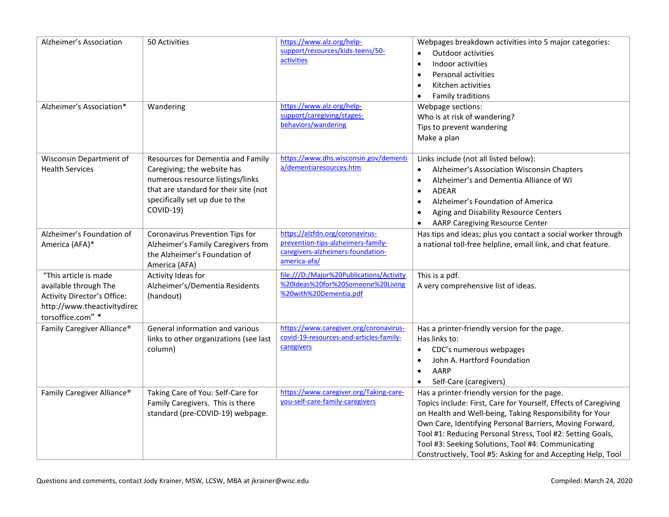| Alzheimer's Association                                                                                                                  | 50 Activities                                                                                                                                                                                | https://www.alz.org/help-<br>support/resources/kids-teens/50-<br>activities                                                | Webpages breakdown activities into 5 major categories:<br>Outdoor activities<br>Indoor activities<br>$\bullet$<br><b>Personal activities</b><br>$\bullet$<br>Kitchen activities<br>$\bullet$<br>Family traditions<br>$\bullet$                                                                                                                                                                                              |
|------------------------------------------------------------------------------------------------------------------------------------------|----------------------------------------------------------------------------------------------------------------------------------------------------------------------------------------------|----------------------------------------------------------------------------------------------------------------------------|-----------------------------------------------------------------------------------------------------------------------------------------------------------------------------------------------------------------------------------------------------------------------------------------------------------------------------------------------------------------------------------------------------------------------------|
| Alzheimer's Association*                                                                                                                 | Wandering                                                                                                                                                                                    | https://www.alz.org/help-<br>support/caregiving/stages-<br>behaviors/wandering                                             | Webpage sections:<br>Who is at risk of wandering?<br>Tips to prevent wandering<br>Make a plan                                                                                                                                                                                                                                                                                                                               |
| Wisconsin Department of<br><b>Health Services</b>                                                                                        | Resources for Dementia and Family<br>Caregiving; the website has<br>numerous resource listings/links<br>that are standard for their site (not<br>specifically set up due to the<br>COVID-19) | https://www.dhs.wisconsin.gov/dementi<br>a/dementiaresources.htm                                                           | Links include (not all listed below):<br>Alzheimer's Association Wisconsin Chapters<br>$\bullet$<br>Alzheimer's and Dementia Alliance of WI<br>$\bullet$<br><b>ADEAR</b><br>$\bullet$<br>Alzheimer's Foundation of America<br>$\bullet$<br>Aging and Disability Resource Centers<br>$\bullet$<br><b>AARP Caregiving Resource Center</b><br>$\bullet$                                                                        |
| Alzheimer's Foundation of<br>America (AFA)*                                                                                              | Coronavirus Prevention Tips for<br>Alzheimer's Family Caregivers from<br>the Alzheimer's Foundation of<br>America (AFA)                                                                      | https://alzfdn.org/coronavirus-<br>prevention-tips-alzheimers-family-<br>caregivers-alzheimers-foundation-<br>america-afa/ | Has tips and ideas; plus you contact a social worker through<br>a national toll-free helpline, email link, and chat feature.                                                                                                                                                                                                                                                                                                |
| "This article is made<br>available through The<br><b>Activity Director's Office:</b><br>http://www.theactivitydirec<br>torsoffice.com" * | Activity Ideas for<br>Alzheimer's/Dementia Residents<br>(handout)                                                                                                                            | file:///D:/Major%20Publications/Activity<br>%20Ideas%20for%20Someone%20Living<br>%20with%20Dementia.pdf                    | This is a pdf.<br>A very comprehensive list of ideas.                                                                                                                                                                                                                                                                                                                                                                       |
| Family Caregiver Alliance®                                                                                                               | General information and various<br>links to other organizations (see last<br>column)                                                                                                         | https://www.caregiver.org/coronavirus-<br>covid-19-resources-and-articles-family-<br>caregivers                            | Has a printer-friendly version for the page.<br>Has links to:<br>CDC's numerous webpages<br>$\bullet$<br>John A. Hartford Foundation<br>$\bullet$<br>AARP<br>$\bullet$<br>Self-Care (caregivers)                                                                                                                                                                                                                            |
| Family Caregiver Alliance®                                                                                                               | Taking Care of You: Self-Care for<br>Family Caregivers. This is there<br>standard (pre-COVID-19) webpage.                                                                                    | https://www.caregiver.org/Taking-care-<br>you-self-care-family-caregivers                                                  | Has a printer-friendly version for the page.<br>Topics include: First, Care for Yourself, Effects of Caregiving<br>on Health and Well-being, Taking Responsibility for Your<br>Own Care, Identifying Personal Barriers, Moving Forward,<br>Tool #1: Reducing Personal Stress, Tool #2: Setting Goals,<br>Tool #3: Seeking Solutions, Tool #4: Communicating<br>Constructively, Tool #5: Asking for and Accepting Help, Tool |